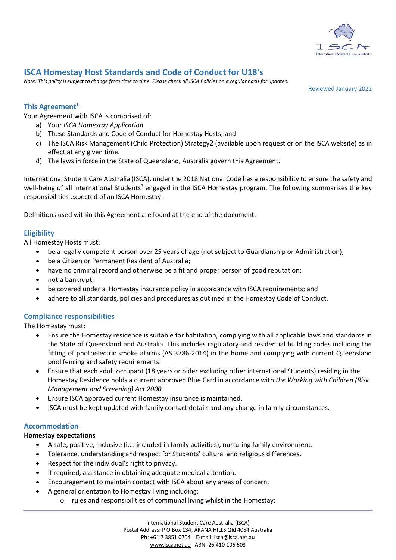

# **ISCA Homestay Host Standards and Code of Conduct for U18's**

*Note: This policy is subject to change from time to time. Please check all ISCA Policies on a regular basis for updates.*

Reviewed January 2022

## **This Agreement<sup>1</sup>**

Your Agreement with ISCA is comprised of:

- a) Your *ISCA Homestay Application*
- b) These Standards and Code of Conduct for Homestay Hosts; and
- c) The ISCA Risk Management (Child Protection) Strategy 2 (available upon request or on the ISCA website) as in effect at any given time.
- d) The laws in force in the State of Queensland, Australia govern this Agreement.

International Student Care Australia (ISCA), under the 2018 National Code has a responsibility to ensure the safety and well-being of all international Students<sup>3</sup> engaged in the ISCA Homestay program. The following summarises the key responsibilities expected of an ISCA Homestay.

Definitions used within this Agreement are found at the end of the document.

# **Eligibility**

All Homestay Hosts must:

- be a legally competent person over 25 years of age (not subject to Guardianship or Administration);
- be a Citizen or Permanent Resident of Australia;
- have no criminal record and otherwise be a fit and proper person of good reputation;
- not a bankrupt;
- be covered under a Homestay insurance policy in accordance with ISCA requirements; and
- adhere to all standards, policies and procedures as outlined in the Homestay Code of Conduct.

### **Compliance responsibilities**

The Homestay must:

- Ensure the Homestay residence is suitable for habitation, complying with all applicable laws and standards in the State of Queensland and Australia. This includes regulatory and residential building codes including the fitting of photoelectric smoke alarms (AS 3786-2014) in the home and complying with current Queensland pool fencing and safety requirements.
- Ensure that each adult occupant (18 years or older excluding other international Students) residing in the Homestay Residence holds a current approved Blue Card in accordance with *the Working with Children (Risk Management and Screening) Act 2000.*
- Ensure ISCA approved current Homestay insurance is maintained.
- ISCA must be kept updated with family contact details and any change in family circumstances.

# **Accommodation**

### **Homestay expectations**

- A safe, positive, inclusive (i.e. included in family activities), nurturing family environment.
- Tolerance, understanding and respect for Students' cultural and religious differences.
- Respect for the individual's right to privacy.
- If required, assistance in obtaining adequate medical attention.
- Encouragement to maintain contact with ISCA about any areas of concern.
- A general orientation to Homestay living including;
	- o rules and responsibilities of communal living whilst in the Homestay;

International Student Care Australia (ISCA) Postal Address: P O Box 134, ARANA HILLS Qld 4054 Australia Ph: +61 7 3851 0704 E-mail: isca@isca.net.au [www.isca.net.au](http://www.isca.net.au/) ABN: 26 410 106 603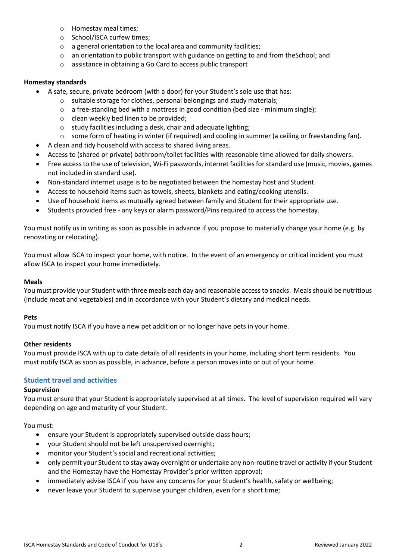- o Homestay meal times;
- o School/ISCA curfew times;
- o a general orientation to the local area and community facilities;
- $\circ$  an orientation to public transport with guidance on getting to and from the School; and
- o assistance in obtaining a Go Card to access public transport

### **Homestay standards**

- A safe, secure, private bedroom (with a door) for your Student's sole use that has:
	- o suitable storage for clothes, personal belongings and study materials;
	- $\circ$  a free-standing bed with a mattress in good condition (bed size minimum single);
	- o clean weekly bed linen to be provided;
	- o study facilities including a desk, chair and adequate lighting;
	- $\circ$  some form of heating in winter (if required) and cooling in summer (a ceiling or freestanding fan).
- A clean and tidy household with access to shared living areas.
- Access to (shared or private) bathroom/toilet facilities with reasonable time allowed for daily showers.
- Free access to the use of television, Wi-Fi passwords, internet facilities for standard use (music, movies, games not included in standard use).
- Non-standard internet usage is to be negotiated between the homestay host and Student.
- Access to household items such as towels, sheets, blankets and eating/cooking utensils.
- Use of household items as mutually agreed between family and Student for their appropriate use.
- Students provided free any keys or alarm password/Pins required to access the homestay.

You must notify us in writing as soon as possible in advance if you propose to materially change your home (e.g. by renovating or relocating).

You must allow ISCA to inspect your home, with notice. In the event of an emergency or critical incident you must allow ISCA to inspect your home immediately.

### **Meals**

You must provide your Student with three meals each day and reasonable access to snacks. Meals should be nutritious (include meat and vegetables) and in accordance with your Student's dietary and medical needs.

### **Pets**

You must notify ISCA if you have a new pet addition or no longer have pets in your home.

### **Other residents**

You must provide ISCA with up to date details of all residents in your home, including short term residents. You must notify ISCA as soon as possible, in advance, before a person moves into or out of your home.

### **Student travel and activities**

### **Supervision**

You must ensure that your Student is appropriately supervised at all times. The level of supervision required will vary depending on age and maturity of your Student.

You must:

- ensure your Student is appropriately supervised outside class hours;
- your Student should not be left unsupervised overnight;
- monitor your Student's social and recreational activities;
- only permit your Student to stay away overnight or undertake any non-routine travel or activity if your Student and the Homestay have the Homestay Provider's prior written approval;
- immediately advise ISCA if you have any concerns for your Student's health, safety or wellbeing;
- never leave your Student to supervise younger children, even for a short time;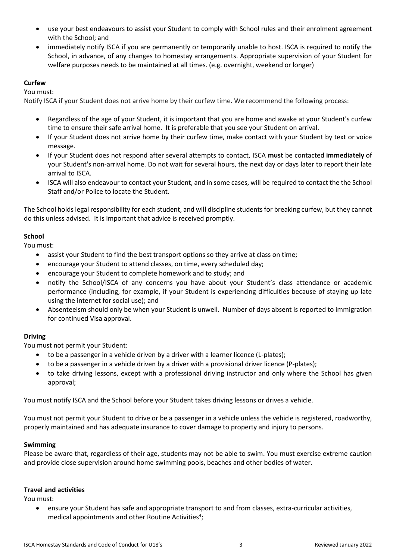- use your best endeavours to assist your Student to comply with School rules and their enrolment agreement with the School; and
- immediately notify ISCA if you are permanently or temporarily unable to host. ISCA is required to notify the School, in advance, of any changes to homestay arrangements. Appropriate supervision of your Student for welfare purposes needs to be maintained at all times. (e.g. overnight, weekend or longer)

# **Curfew**

You must:

Notify ISCA if your Student does not arrive home by their curfew time. We recommend the following process:

- Regardless of the age of your Student, it is important that you are home and awake at your Student's curfew time to ensure their safe arrival home. It is preferable that you see your Student on arrival.
- If your Student does not arrive home by their curfew time, make contact with your Student by text or voice message.
- If your Student does not respond after several attempts to contact, ISCA **must** be contacted **immediately** of your Student's non-arrival home. Do not wait for several hours, the next day or days later to report their late arrival to ISCA.
- ISCA will also endeavour to contact your Student, and in some cases, will be required to contact the the School Staff and/or Police to locate the Student.

The School holds legal responsibility for each student, and will discipline students for breaking curfew, but they cannot do this unless advised. It is important that advice is received promptly.

# **School**

You must:

- assist your Student to find the best transport options so they arrive at class on time;
- encourage your Student to attend classes, on time, every scheduled day;
- encourage your Student to complete homework and to study; and
- notify the School/ISCA of any concerns you have about your Student's class attendance or academic performance (including, for example, if your Student is experiencing difficulties because of staying up late using the internet for social use); and
- Absenteeism should only be when your Student is unwell. Number of days absent is reported to immigration for continued Visa approval.

# **Driving**

You must not permit your Student:

- to be a passenger in a vehicle driven by a driver with a learner licence (L-plates);
- to be a passenger in a vehicle driven by a driver with a provisional driver licence (P-plates);
- to take driving lessons, except with a professional driving instructor and only where the School has given approval;

You must notify ISCA and the School before your Student takes driving lessons or drives a vehicle.

You must not permit your Student to drive or be a passenger in a vehicle unless the vehicle is registered, roadworthy, properly maintained and has adequate insurance to cover damage to property and injury to persons.

# **Swimming**

Please be aware that, regardless of their age, students may not be able to swim. You must exercise extreme caution and provide close supervision around home swimming pools, beaches and other bodies of water.

### **Travel and activities**

You must:

• ensure your Student has safe and appropriate transport to and from classes, extra-curricular activities, medical appointments and other Routine Activities<sup>4</sup>;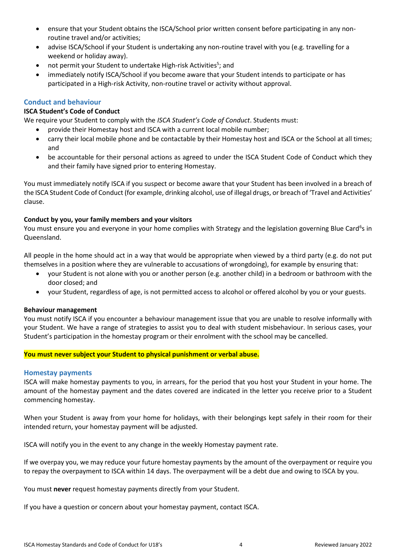- ensure that your Student obtains the ISCA/School prior written consent before participating in any nonroutine travel and/or activities;
- advise ISCA/School if your Student is undertaking any non-routine travel with you (e.g. travelling for a weekend or holiday away).
- not permit your Student to undertake High-risk Activities<sup>5</sup>; and
- immediately notify ISCA/School if you become aware that your Student intends to participate or has participated in a High-risk Activity, non-routine travel or activity without approval.

### **Conduct and behaviour**

### **ISCA Student's Code of Conduct**

We require your Student to comply with the *ISCA Student's Code of Conduct*. Students must:

- provide their Homestay host and ISCA with a current local mobile number;
- carry their local mobile phone and be contactable by their Homestay host and ISCA or the School at all times; and
- be accountable for their personal actions as agreed to under the ISCA Student Code of Conduct which they and their family have signed prior to entering Homestay.

You must immediately notify ISCA if you suspect or become aware that your Student has been involved in a breach of the ISCA Student Code of Conduct (for example, drinking alcohol, use of illegal drugs, or breach of 'Travel and Activities' clause.

### **Conduct by you, your family members and your visitors**

You must ensure you and everyone in your home complies with Strategy and the legislation governing Blue Card<sup>6</sup>s in Queensland.

All people in the home should act in a way that would be appropriate when viewed by a third party (e.g. do not put themselves in a position where they are vulnerable to accusations of wrongdoing), for example by ensuring that:

- your Student is not alone with you or another person (e.g. another child) in a bedroom or bathroom with the door closed; and
- your Student, regardless of age, is not permitted access to alcohol or offered alcohol by you or your guests.

### **Behaviour management**

You must notify ISCA if you encounter a behaviour management issue that you are unable to resolve informally with your Student. We have a range of strategies to assist you to deal with student misbehaviour. In serious cases, your Student's participation in the homestay program or their enrolment with the school may be cancelled.

### **You must never subject your Student to physical punishment or verbal abuse.**

#### **Homestay payments**

ISCA will make homestay payments to you, in arrears, for the period that you host your Student in your home. The amount of the homestay payment and the dates covered are indicated in the letter you receive prior to a Student commencing homestay.

When your Student is away from your home for holidays, with their belongings kept safely in their room for their intended return, your homestay payment will be adjusted.

ISCA will notify you in the event to any change in the weekly Homestay payment rate.

If we overpay you, we may reduce your future homestay payments by the amount of the overpayment or require you to repay the overpayment to ISCA within 14 days. The overpayment will be a debt due and owing to ISCA by you.

You must **never** request homestay payments directly from your Student.

If you have a question or concern about your homestay payment, contact ISCA.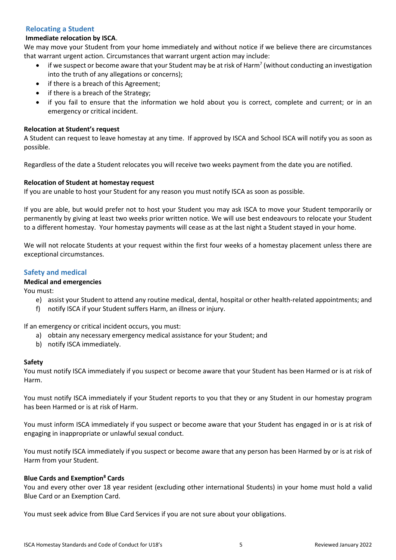# **Relocating a Student**

# **Immediate relocation by ISCA**.

We may move your Student from your home immediately and without notice if we believe there are circumstances that warrant urgent action. Circumstances that warrant urgent action may include:

- $\bullet$  if we suspect or become aware that your Student may be at risk of Harm<sup>7</sup> (without conducting an investigation into the truth of any allegations or concerns);
- if there is a breach of this Agreement;
- if there is a breach of the Strategy;
- if you fail to ensure that the information we hold about you is correct, complete and current; or in an emergency or critical incident.

## **Relocation at Student's request**

A Student can request to leave homestay at any time. If approved by ISCA and School ISCA will notify you as soon as possible.

Regardless of the date a Student relocates you will receive two weeks payment from the date you are notified.

## **Relocation of Student at homestay request**

If you are unable to host your Student for any reason you must notify ISCA as soon as possible.

If you are able, but would prefer not to host your Student you may ask ISCA to move your Student temporarily or permanently by giving at least two weeks prior written notice. We will use best endeavours to relocate your Student to a different homestay. Your homestay payments will cease as at the last night a Student stayed in your home.

We will not relocate Students at your request within the first four weeks of a homestay placement unless there are exceptional circumstances.

# **Safety and medical**

# **Medical and emergencies**

You must:

- e) assist your Student to attend any routine medical, dental, hospital or other health-related appointments; and
- f) notify ISCA if your Student suffers Harm, an illness or injury.

If an emergency or critical incident occurs, you must:

- a) obtain any necessary emergency medical assistance for your Student; and
- b) notify ISCA immediately.

### **Safety**

You must notify ISCA immediately if you suspect or become aware that your Student has been Harmed or is at risk of Harm.

You must notify ISCA immediately if your Student reports to you that they or any Student in our homestay program has been Harmed or is at risk of Harm.

You must inform ISCA immediately if you suspect or become aware that your Student has engaged in or is at risk of engaging in inappropriate or unlawful sexual conduct.

You must notify ISCA immediately if you suspect or become aware that any person has been Harmed by or is at risk of Harm from your Student.

### **Blue Cards and Exemption<sup>8</sup> Cards**

You and every other over 18 year resident (excluding other international Students) in your home must hold a valid Blue Card or an Exemption Card.

You must seek advice from Blue Card Services if you are not sure about your obligations.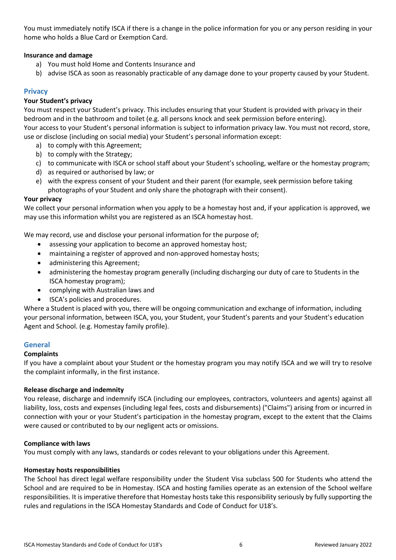You must immediately notify ISCA if there is a change in the police information for you or any person residing in your home who holds a Blue Card or Exemption Card.

## **Insurance and damage**

- a) You must hold Home and Contents Insurance and
- b) advise ISCA as soon as reasonably practicable of any damage done to your property caused by your Student.

# **Privacy**

### **Your Student's privacy**

You must respect your Student's privacy. This includes ensuring that your Student is provided with privacy in their bedroom and in the bathroom and toilet (e.g. all persons knock and seek permission before entering). Your access to your Student's personal information is subject to information privacy law. You must not record, store, use or disclose (including on social media) your Student's personal information except:

- a) to comply with this Agreement;
- b) to comply with the Strategy;
- c) to communicate with ISCA or school staff about your Student's schooling, welfare or the homestay program;
- d) as required or authorised by law; or
- e) with the express consent of your Student and their parent (for example, seek permission before taking photographs of your Student and only share the photograph with their consent).

### **Your privacy**

We collect your personal information when you apply to be a homestay host and, if your application is approved, we may use this information whilst you are registered as an ISCA homestay host.

We may record, use and disclose your personal information for the purpose of;

- assessing your application to become an approved homestay host;
- maintaining a register of approved and non-approved homestay hosts;
- administering this Agreement;
- administering the homestay program generally (including discharging our duty of care to Students in the ISCA homestay program);
- complying with Australian laws and
- ISCA's policies and procedures.

Where a Student is placed with you, there will be ongoing communication and exchange of information, including your personal information, between ISCA, you, your Student, your Student's parents and your Student's education Agent and School. (e.g. Homestay family profile).

### **General**

### **Complaints**

If you have a complaint about your Student or the homestay program you may notify ISCA and we will try to resolve the complaint informally, in the first instance.

### **Release discharge and indemnity**

You release, discharge and indemnify ISCA (including our employees, contractors, volunteers and agents) against all liability, loss, costs and expenses (including legal fees, costs and disbursements) ("Claims") arising from or incurred in connection with your or your Student's participation in the homestay program, except to the extent that the Claims were caused or contributed to by our negligent acts or omissions.

### **Compliance with laws**

You must comply with any laws, standards or codes relevant to your obligations under this Agreement.

### **Homestay hosts responsibilities**

The School has direct legal welfare responsibility under the Student Visa subclass 500 for Students who attend the School and are required to be in Homestay. ISCA and hosting families operate as an extension of the School welfare responsibilities. It is imperative therefore that Homestay hosts take this responsibility seriously by fully supporting the rules and regulations in the ISCA Homestay Standards and Code of Conduct for U18's.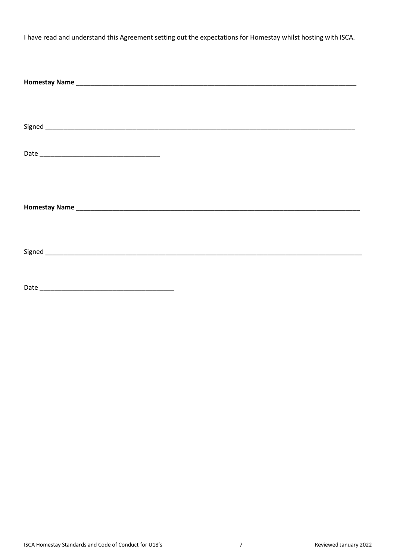I have read and understand this Agreement setting out the expectations for Homestay whilst hosting with ISCA.